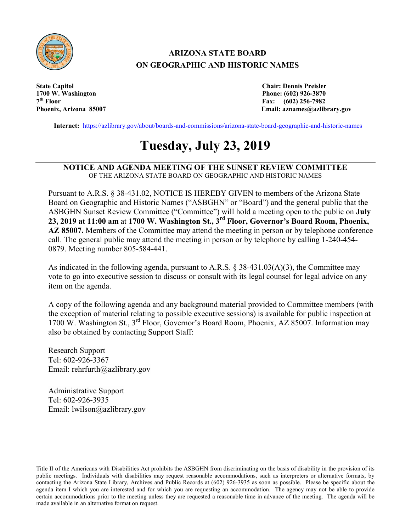

## **ARIZONA STATE BOARD ON GEOGRAPHIC AND HISTORIC NAMES**

**State Capitol Chair: Dennis Preisler 1700 W. Washington Phone: (602) 926-3870 7th Floor Fax: (602) 256-7982**

Email: aznames@azlibrary.gov

**Internet:** <https://azlibrary.gov/about/boards-and-commissions/arizona-state-board-geographic-and-historic-names>

# **Tuesday, July 23, 2019**

#### **NOTICE AND AGENDA MEETING OF THE SUNSET REVIEW COMMITTEE**  OF THE ARIZONA STATE BOARD ON GEOGRAPHIC AND HISTORIC NAMES

Pursuant to A.R.S. § 38-431.02, NOTICE IS HEREBY GIVEN to members of the Arizona State Board on Geographic and Historic Names ("ASBGHN" or "Board") and the general public that the ASBGHN Sunset Review Committee ("Committee") will hold a meeting open to the public on **July 23, 2019 at 11:00 am** at **1700 W. Washington St., 3rd Floor, Governor's Board Room, Phoenix, AZ 85007.** Members of the Committee may attend the meeting in person or by telephone conference call. The general public may attend the meeting in person or by telephone by calling 1-240-454- 0879. Meeting number 805-584-441.

As indicated in the following agenda, pursuant to A.R.S. § 38-431.03(A)(3), the Committee may vote to go into executive session to discuss or consult with its legal counsel for legal advice on any item on the agenda.

A copy of the following agenda and any background material provided to Committee members (with the exception of material relating to possible executive sessions) is available for public inspection at 1700 W. Washington St., 3rd Floor, Governor's Board Room, Phoenix, AZ 85007. Information may also be obtained by contacting Support Staff:

Research Support Tel: 602-926-3367 Email: rehrfurth@azlibrary.gov

Administrative Support Tel: 602-926-3935 Email: lwilson@azlibrary.gov

Title II of the Americans with Disabilities Act prohibits the ASBGHN from discriminating on the basis of disability in the provision of its public meetings. Individuals with disabilities may request reasonable accommodations, such as interpreters or alternative formats, by contacting the Arizona State Library, Archives and Public Records at (602) 926-3935 as soon as possible. Please be specific about the agenda item I which you are interested and for which you are requesting an accommodation. The agency may not be able to provide certain accommodations prior to the meeting unless they are requested a reasonable time in advance of the meeting. The agenda will be made available in an alternative format on request.